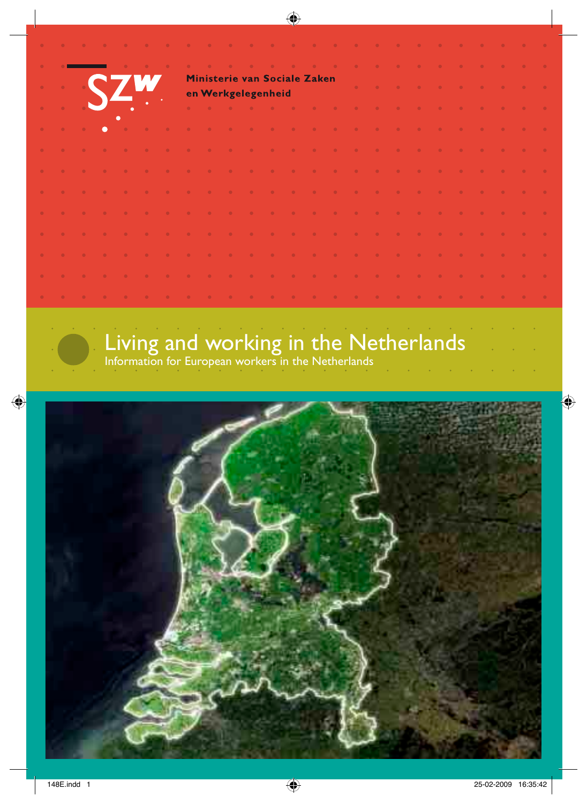|                                                                                                                |  |  |  |  | Ministerie van Sociale Zaken |  |  |  |  |  | the contract of the contract of the contract of the contract of the contract of the contract of the contract of                                                                                                                    |  |
|----------------------------------------------------------------------------------------------------------------|--|--|--|--|------------------------------|--|--|--|--|--|------------------------------------------------------------------------------------------------------------------------------------------------------------------------------------------------------------------------------------|--|
|                                                                                                                |  |  |  |  | en Werkgelegenheid           |  |  |  |  |  | the control of the control of the control of the control of the control of the control of the control of the control of the control of the control of the control of the control of the control of the control of the control      |  |
|                                                                                                                |  |  |  |  |                              |  |  |  |  |  | the contract of the contract of the contract of the contract of the contract of the contract of the contract of                                                                                                                    |  |
| $\mathbf{0} \qquad \qquad \mathbf{0} \qquad \qquad \mathbf{0} \qquad \qquad \mathbf{0} \qquad \qquad$          |  |  |  |  |                              |  |  |  |  |  | $\bullet$ , and a construction of the construction of the construction of the construction of the construction of the construction of the construction of the construction of the construction of the construction of the construc |  |
| a la caractería de la caractería de la caractería de la caractería                                             |  |  |  |  |                              |  |  |  |  |  |                                                                                                                                                                                                                                    |  |
| a la caractería de la caractería de la caractería de la caractería                                             |  |  |  |  |                              |  |  |  |  |  |                                                                                                                                                                                                                                    |  |
|                                                                                                                |  |  |  |  |                              |  |  |  |  |  |                                                                                                                                                                                                                                    |  |
|                                                                                                                |  |  |  |  |                              |  |  |  |  |  |                                                                                                                                                                                                                                    |  |
| a la caractería de la caractería de la caractería de la caractería de                                          |  |  |  |  |                              |  |  |  |  |  |                                                                                                                                                                                                                                    |  |
| a la caractería de la caractería de la caractería de la caractería de la caractería de la caractería de la car |  |  |  |  |                              |  |  |  |  |  |                                                                                                                                                                                                                                    |  |
| a la caractería de la caractería de la caractería de la caractería                                             |  |  |  |  |                              |  |  |  |  |  |                                                                                                                                                                                                                                    |  |
|                                                                                                                |  |  |  |  |                              |  |  |  |  |  |                                                                                                                                                                                                                                    |  |



## Living and working in the Netherlands

Information for European workers in the Netherlands

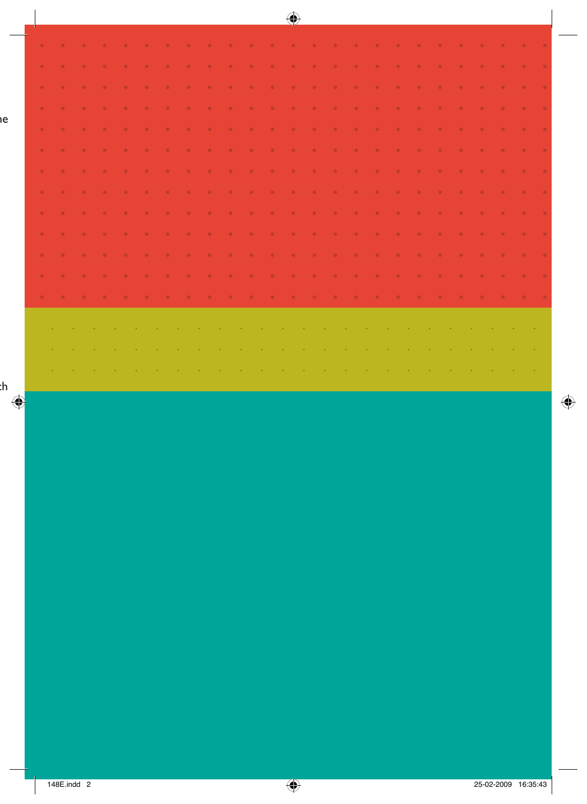| a dia dia 49.000 kaominina mpikambana amin'ny fivondronan-kaominin'i Paris-Al-Maria de La Grégoria de La Grégoria de La Grégoria de La Grégoria de La Grégoria de La Grégoria de La Grégoria de La Grégoria de La Grégoria de |  |  |  |  |  |  |  |  |  |  |  |  |
|-------------------------------------------------------------------------------------------------------------------------------------------------------------------------------------------------------------------------------|--|--|--|--|--|--|--|--|--|--|--|--|
|                                                                                                                                                                                                                               |  |  |  |  |  |  |  |  |  |  |  |  |
|                                                                                                                                                                                                                               |  |  |  |  |  |  |  |  |  |  |  |  |
| a dia dia 49.000 kaominina mpikambana amin'ny fivondronan-kaominin'i Paris-Al-Maria de La Grégoria de La Grégoria de La Grégoria de La Grégoria de La Grégoria de La Grégoria de La Grégoria de La Grégoria de La Grégoria de |  |  |  |  |  |  |  |  |  |  |  |  |
|                                                                                                                                                                                                                               |  |  |  |  |  |  |  |  |  |  |  |  |
| a dia dia 49.000 kaominina mpikambana amin'ny fivondronan-kaominin'i Paris-Al-Maria de La Grégoria de La Grégoria de La Grégoria de La Grégoria de La Grégoria de La Grégoria de La Grégoria de La Grégoria de La Grégoria de |  |  |  |  |  |  |  |  |  |  |  |  |
|                                                                                                                                                                                                                               |  |  |  |  |  |  |  |  |  |  |  |  |
|                                                                                                                                                                                                                               |  |  |  |  |  |  |  |  |  |  |  |  |
| a dia dia 49.000 kaominina mpikambana amin'ny fivondronan-kaominin'i Paris-Al-Maria de La Grégoria de La Grégoria de La Grégoria de La Grégoria de La Grégoria de La Grégoria de La Grégoria de La Grégoria de La Grégoria de |  |  |  |  |  |  |  |  |  |  |  |  |
|                                                                                                                                                                                                                               |  |  |  |  |  |  |  |  |  |  |  |  |
| the control of the control of the control of the control of the control of the control of the control of the control of the control of the control of the control of the control of the control of the control of the control |  |  |  |  |  |  |  |  |  |  |  |  |
| the contract of the contract of the contract of the contract of the contract of the contract of the contract of                                                                                                               |  |  |  |  |  |  |  |  |  |  |  |  |
| in a company of the company of the company of the company of the company of the company of the company of the company                                                                                                         |  |  |  |  |  |  |  |  |  |  |  |  |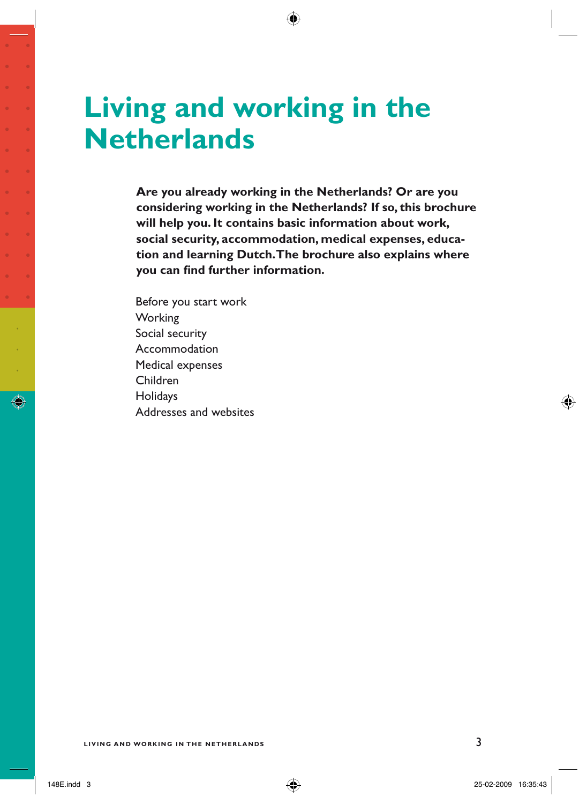## **Living and working in the Netherlands**

**Are you already working in the Netherlands? Or are you considering working in the Netherlands? If so, this brochure will help you. It contains basic information about work, social security, accommodation, medical expenses, education and learning Dutch. The brochure also explains where you can find further information.**

Before you start work Working Social security Accommodation Medical expenses Children **Holidays** Addresses and websites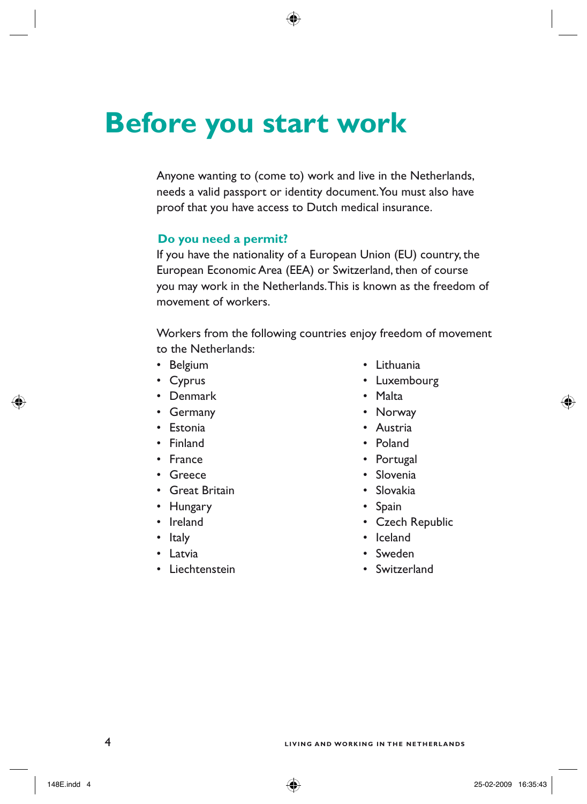## **Before you start work**

Anyone wanting to (come to) work and live in the Netherlands, needs a valid passport or identity document. You must also have proof that you have access to Dutch medical insurance.

## **Do you need a permit?**

If you have the nationality of a European Union (EU) country, the European Economic Area (EEA) or Switzerland, then of course you may work in the Netherlands. This is known as the freedom of movement of workers.

Workers from the following countries enjoy freedom of movement to the Netherlands:

- Belgium
- Cyprus
- $\cdot$  Denmark
- Germany
- $\cdot$  Estonia
- Finland
- $\cdot$  France
- $\cdot$  Greece
- Great Britain
- Hungary
- Ireland
- Italy
- Latvia
- Liechtenstein
- Lithuania
- Luxembourg
- Malta
- Norway
- · Austria
- $\cdot$  Poland
- Portugal
- · Slovenia
- · Slovakia
- Spain
- Czech Republic
- $\cdot$  Iceland
- Sweden
- Switzerland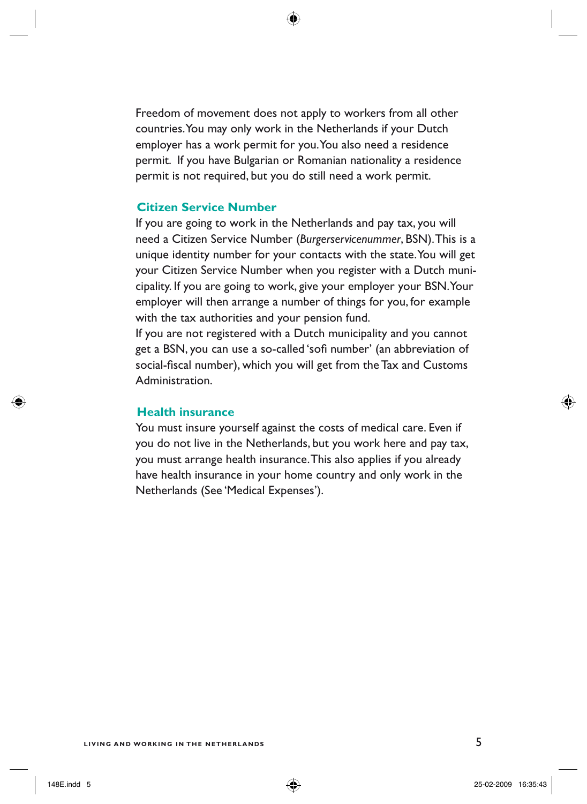Freedom of movement does not apply to workers from all other countries. You may only work in the Netherlands if your Dutch employer has a work permit for you. You also need a residence permit. If you have Bulgarian or Romanian nationality a residence permit is not required, but you do still need a work permit.

## **Citizen Service Number**

If you are going to work in the Netherlands and pay tax, you will need a Citizen Service Number (*Burgerservicenummer*, BSN). This is a unique identity number for your contacts with the state. You will get your Citizen Service Number when you register with a Dutch municipality. If you are going to work, give your employer your BSN. Your employer will then arrange a number of things for you, for example with the tax authorities and your pension fund.

If you are not registered with a Dutch municipality and you cannot get a BSN, you can use a so-called 'sofi number' (an abbreviation of social-fiscal number), which you will get from the Tax and Customs Administration.

#### **Health insurance**

You must insure yourself against the costs of medical care. Even if you do not live in the Netherlands, but you work here and pay tax, you must arrange health insurance. This also applies if you already have health insurance in your home country and only work in the Netherlands (See 'Medical Expenses').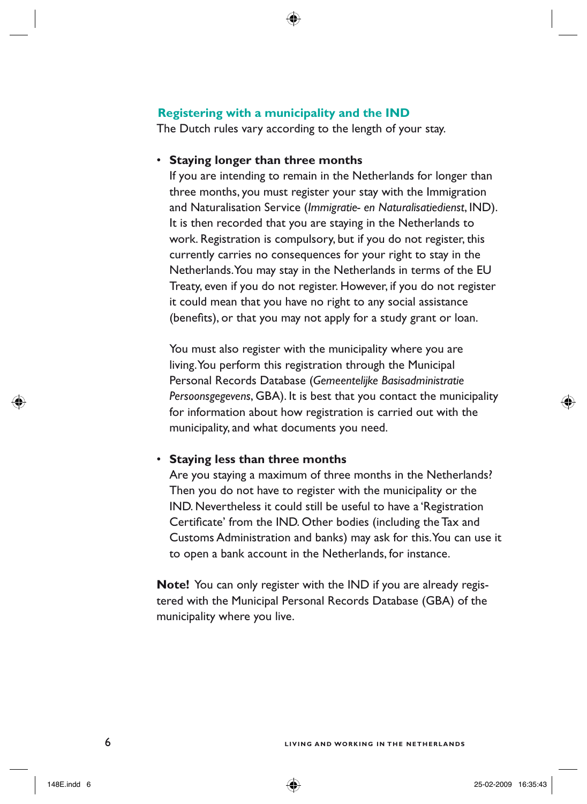## **Registering with a municipality and the IND**

The Dutch rules vary according to the length of your stay.

### **• Staying longer than three months**

 If you are intending to remain in the Netherlands for longer than three months, you must register your stay with the Immigration and Naturalisation Service (*Immigratie- en Naturalisatiedienst*, IND). It is then recorded that you are staying in the Netherlands to work. Registration is compulsory, but if you do not register, this currently carries no consequences for your right to stay in the Netherlands. You may stay in the Netherlands in terms of the EU Treaty, even if you do not register. However, if you do not register it could mean that you have no right to any social assistance (benefits), or that you may not apply for a study grant or loan.

 You must also register with the municipality where you are living. You perform this registration through the Municipal Personal Records Database (Gemeentelijke Basisadministratie Persoonsgegevens, GBA). It is best that you contact the municipality for information about how registration is carried out with the municipality, and what documents you need.

## **• Staying less than three months**

 Are you staying a maximum of three months in the Netherlands? Then you do not have to register with the municipality or the IND. Nevertheless it could still be useful to have a 'Registration Certificate' from the IND. Other bodies (including the Tax and Customs Administration and banks) may ask for this. You can use it to open a bank account in the Netherlands, for instance.

**Note!** You can only register with the IND if you are already registered with the Municipal Personal Records Database (GBA) of the municipality where you live.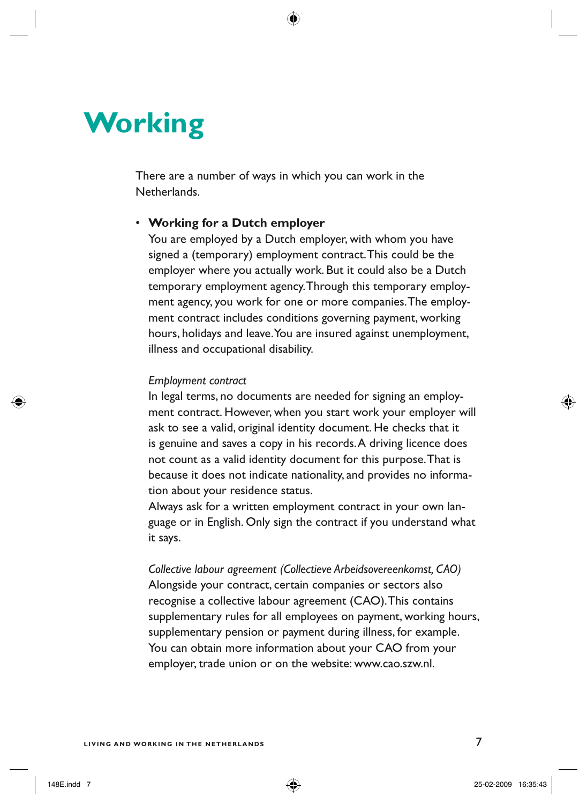## **Working**

There are a number of ways in which you can work in the Netherlands.

## **• Working for a Dutch employer**

 You are employed by a Dutch employer, with whom you have signed a (temporary) employment contract. This could be the employer where you actually work. But it could also be a Dutch temporary employment agency. Through this temporary employment agency, you work for one or more companies. The employment contract includes conditions governing payment, working hours, holidays and leave. You are insured against unemployment, illness and occupational disability.

#### *Employment contract*

 In legal terms, no documents are needed for signing an employment contract. However, when you start work your employer will ask to see a valid, original identity document. He checks that it is genuine and saves a copy in his records. A driving licence does not count as a valid identity document for this purpose. That is because it does not indicate nationality, and provides no information about your residence status.

 Always ask for a written employment contract in your own language or in English. Only sign the contract if you understand what it says.

 *Collective labour agreement (Collectieve Arbeidsovereenkomst, CAO)* Alongside your contract, certain companies or sectors also recognise a collective labour agreement (CAO). This contains supplementary rules for all employees on payment, working hours, supplementary pension or payment during illness, for example. You can obtain more information about your CAO from your employer, trade union or on the website: www.cao.szw.nl.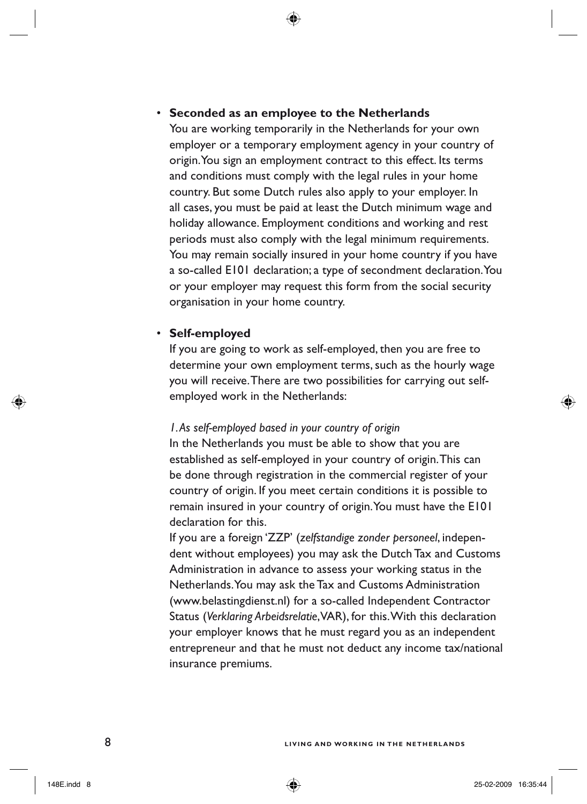#### s **Seconded as an employee to the Netherlands**

 You are working temporarily in the Netherlands for your own employer or a temporary employment agency in your country of origin. You sign an employment contract to this effect. Its terms and conditions must comply with the legal rules in your home country. But some Dutch rules also apply to your employer. In all cases, you must be paid at least the Dutch minimum wage and holiday allowance. Employment conditions and working and rest periods must also comply with the legal minimum requirements. You may remain socially insured in your home country if you have a so-called E101 declaration; a type of secondment declaration. You or your employer may request this form from the social security organisation in your home country.

### s **Self-employed**

 If you are going to work as self-employed, then you are free to determine your own employment terms, such as the hourly wage you will receive. There are two possibilities for carrying out selfemployed work in the Netherlands:

## *1. As self-employed based in your country of origin*

 In the Netherlands you must be able to show that you are established as self-employed in your country of origin. This can be done through registration in the commercial register of your country of origin. If you meet certain conditions it is possible to remain insured in your country of origin. You must have the E101 declaration for this.

If you are a foreign 'ZZP' (zelfstandige zonder personeel, independent without employees) you may ask the Dutch Tax and Customs Administration in advance to assess your working status in the Netherlands. You may ask the Tax and Customs Administration (www.belastingdienst.nl) for a so-called Independent Contractor Status (Verklaring Arbeidsrelatie, VAR), for this. With this declaration your employer knows that he must regard you as an independent entrepreneur and that he must not deduct any income tax/national insurance premiums.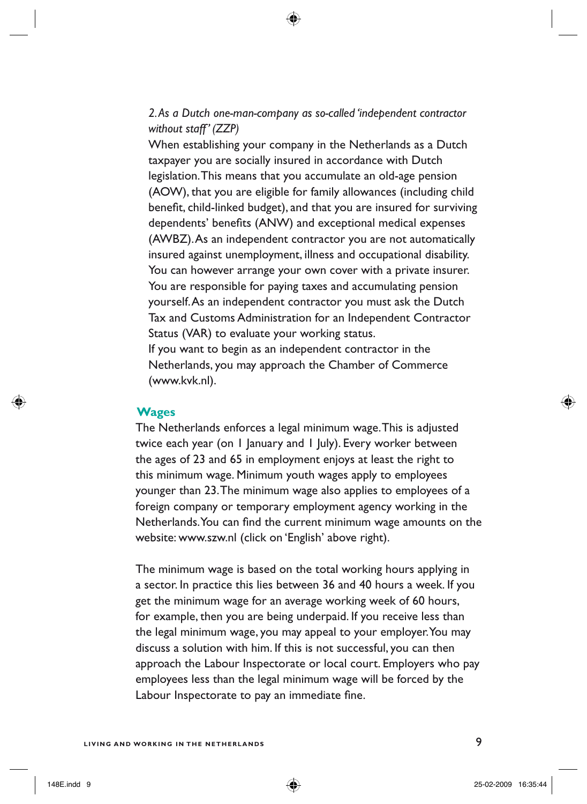## *2. As a Dutch one-man-company as so-called 'independent contractor without staff' (ZZP)*

 When establishing your company in the Netherlands as a Dutch taxpayer you are socially insured in accordance with Dutch legislation. This means that you accumulate an old-age pension (AOW), that you are eligible for family allowances (including child benefit, child-linked budget), and that you are insured for surviving dependents' benefits (ANW) and exceptional medical expenses (AWBZ). As an independent contractor you are not automatically insured against unemployment, illness and occupational disability. You can however arrange your own cover with a private insurer. You are responsible for paying taxes and accumulating pension yourself. As an independent contractor you must ask the Dutch Tax and Customs Administration for an Independent Contractor Status (VAR) to evaluate your working status. If you want to begin as an independent contractor in the

Netherlands, you may approach the Chamber of Commerce (www.kvk.nl).

## **Wages**

The Netherlands enforces a legal minimum wage. This is adjusted twice each year (on 1 January and 1 July). Every worker between the ages of 23 and 65 in employment enjoys at least the right to this minimum wage. Minimum youth wages apply to employees younger than 23. The minimum wage also applies to employees of a foreign company or temporary employment agency working in the Netherlands. You can find the current minimum wage amounts on the website: www.szw.nl (click on 'English' above right).

The minimum wage is based on the total working hours applying in a sector. In practice this lies between 36 and 40 hours a week. If you get the minimum wage for an average working week of 60 hours, for example, then you are being underpaid. If you receive less than the legal minimum wage, you may appeal to your employer. You may discuss a solution with him. If this is not successful, you can then approach the Labour Inspectorate or local court. Employers who pay employees less than the legal minimum wage will be forced by the Labour Inspectorate to pay an immediate fine.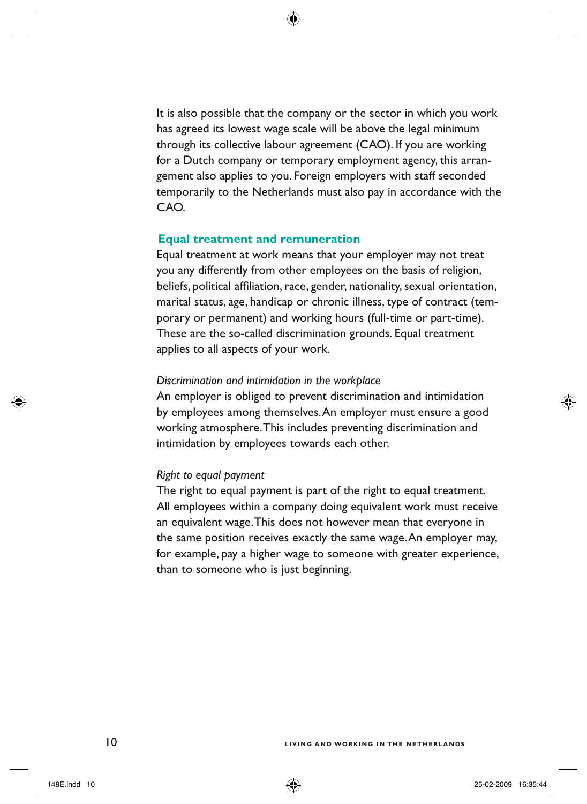It is also possible that the company or the sector in which you work has agreed its lowest wage scale will be above the legal minimum through its collective labour agreement (CAO). If you are working for a Dutch company or temporary employment agency, this arrangement also applies to you. Foreign employers with staff seconded temporarily to the Netherlands must also pay in accordance with the CAO.

## **Equal treatment and remuneration**

Equal treatment at work means that your employer may not treat you any differently from other employees on the basis of religion, beliefs, political affiliation, race, gender, nationality, sexual orientation, marital status, age, handicap or chronic illness, type of contract (temporary or permanent) and working hours (full-time or part-time). These are the so-called discrimination grounds. Equal treatment applies to all aspects of your work.

#### *Discrimination and intimidation in the workplace*

An employer is obliged to prevent discrimination and intimidation by employees among themselves. An employer must ensure a good working atmosphere. This includes preventing discrimination and intimidation by employees towards each other.

#### *Right to equal payment*

The right to equal payment is part of the right to equal treatment. All employees within a company doing equivalent work must receive an equivalent wage. This does not however mean that everyone in the same position receives exactly the same wage. An employer may, for example, pay a higher wage to someone with greater experience, than to someone who is just beginning.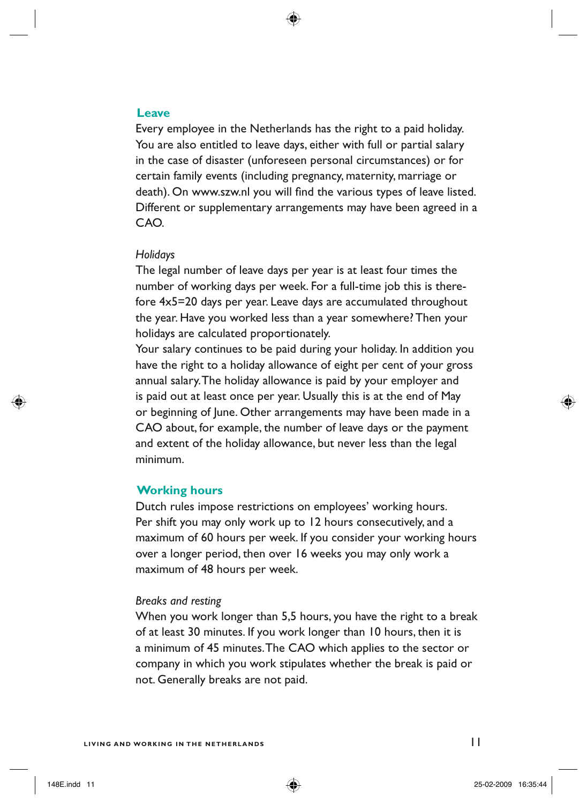#### **Leave**

Every employee in the Netherlands has the right to a paid holiday. You are also entitled to leave days, either with full or partial salary in the case of disaster (unforeseen personal circumstances) or for certain family events (including pregnancy, maternity, marriage or death). On www.szw.nl you will find the various types of leave listed. Different or supplementary arrangements may have been agreed in a CAO.

#### *Holidays*

The legal number of leave days per year is at least four times the number of working days per week. For a full-time job this is therefore 4x5=20 days per year. Leave days are accumulated throughout the year. Have you worked less than a year somewhere? Then your holidays are calculated proportionately.

Your salary continues to be paid during your holiday. In addition you have the right to a holiday allowance of eight per cent of your gross annual salary. The holiday allowance is paid by your employer and is paid out at least once per year. Usually this is at the end of May or beginning of June. Other arrangements may have been made in a CAO about, for example, the number of leave days or the payment and extent of the holiday allowance, but never less than the legal minimum.

#### **Working hours**

Dutch rules impose restrictions on employees' working hours. Per shift you may only work up to 12 hours consecutively, and a maximum of 60 hours per week. If you consider your working hours over a longer period, then over 16 weeks you may only work a maximum of 48 hours per week.

#### *Breaks and resting*

When you work longer than 5,5 hours, you have the right to a break of at least 30 minutes. If you work longer than 10 hours, then it is a minimum of 45 minutes. The CAO which applies to the sector or company in which you work stipulates whether the break is paid or not. Generally breaks are not paid.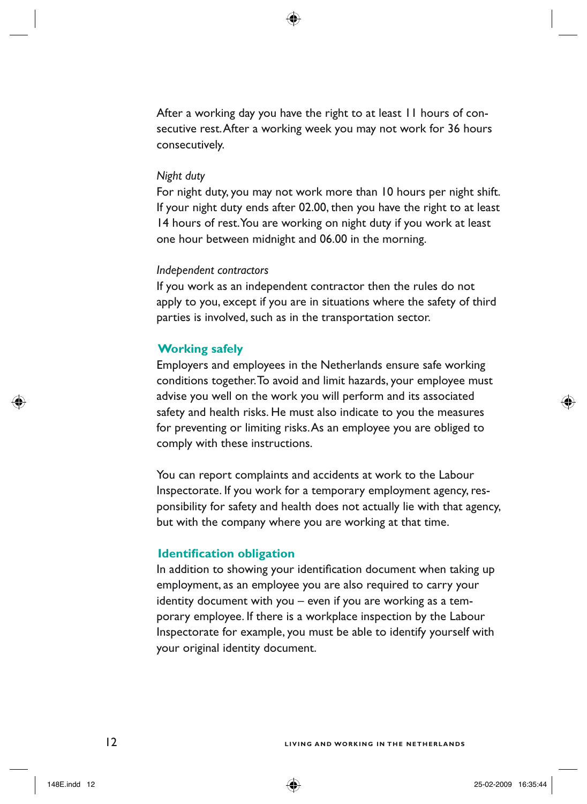After a working day you have the right to at least 11 hours of consecutive rest. After a working week you may not work for 36 hours consecutively.

### *Night duty*

For night duty, you may not work more than 10 hours per night shift. If your night duty ends after 02.00, then you have the right to at least 14 hours of rest. You are working on night duty if you work at least one hour between midnight and 06.00 in the morning.

#### *Independent contractors*

If you work as an independent contractor then the rules do not apply to you, except if you are in situations where the safety of third parties is involved, such as in the transportation sector.

## **Working safely**

Employers and employees in the Netherlands ensure safe working conditions together. To avoid and limit hazards, your employee must advise you well on the work you will perform and its associated safety and health risks. He must also indicate to you the measures for preventing or limiting risks. As an employee you are obliged to comply with these instructions.

You can report complaints and accidents at work to the Labour Inspectorate. If you work for a temporary employment agency, responsibility for safety and health does not actually lie with that agency, but with the company where you are working at that time.

## **Identification obligation**

In addition to showing your identification document when taking up employment, as an employee you are also required to carry your identity document with you – even if you are working as a temporary employee. If there is a workplace inspection by the Labour Inspectorate for example, you must be able to identify yourself with your original identity document.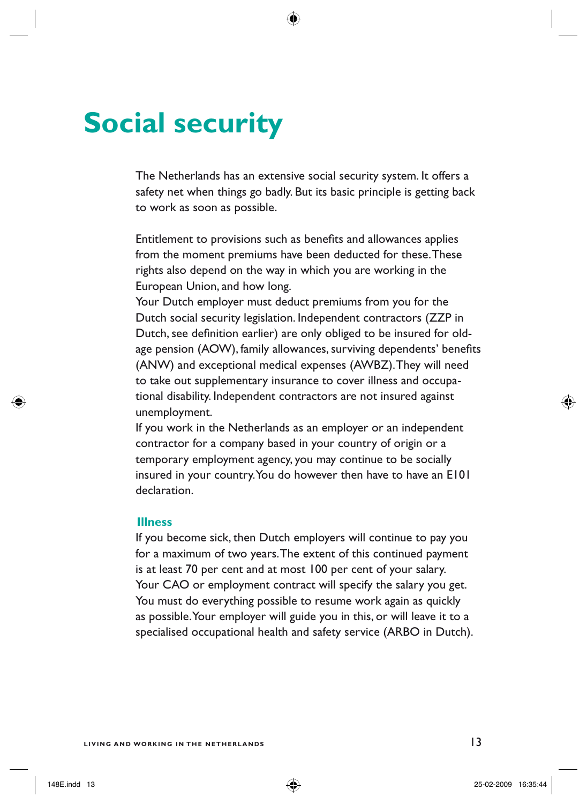## **Social security**

The Netherlands has an extensive social security system. It offers a safety net when things go badly. But its basic principle is getting back to work as soon as possible.

Entitlement to provisions such as benefits and allowances applies from the moment premiums have been deducted for these. These rights also depend on the way in which you are working in the European Union, and how long.

Your Dutch employer must deduct premiums from you for the Dutch social security legislation. Independent contractors (ZZP in Dutch, see definition earlier) are only obliged to be insured for oldage pension (AOW), family allowances, surviving dependents' benefits (ANW) and exceptional medical expenses (AWBZ). They will need to take out supplementary insurance to cover illness and occupational disability. Independent contractors are not insured against unemployment.

If you work in the Netherlands as an employer or an independent contractor for a company based in your country of origin or a temporary employment agency, you may continue to be socially insured in your country. You do however then have to have an E101 declaration.

#### **Illness**

If you become sick, then Dutch employers will continue to pay you for a maximum of two years. The extent of this continued payment is at least 70 per cent and at most 100 per cent of your salary. Your CAO or employment contract will specify the salary you get. You must do everything possible to resume work again as quickly as possible. Your employer will guide you in this, or will leave it to a specialised occupational health and safety service (ARBO in Dutch).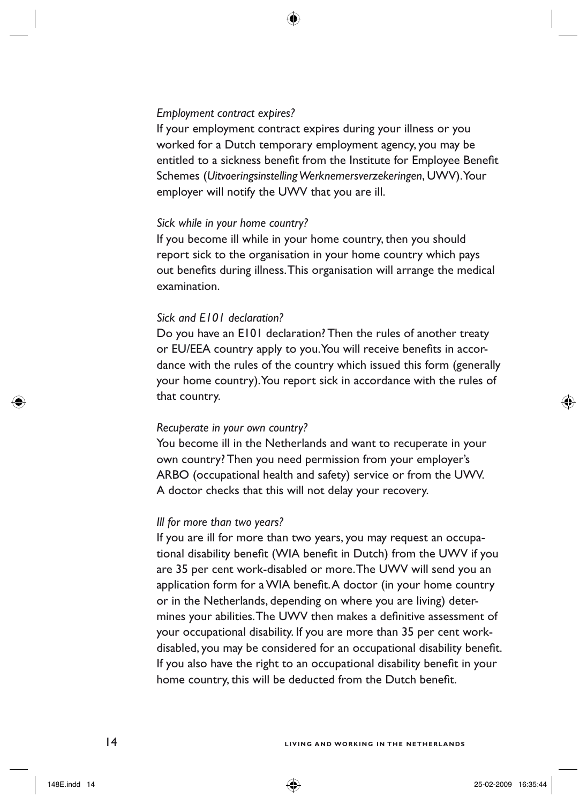#### *Employment contract expires?*

If your employment contract expires during your illness or you worked for a Dutch temporary employment agency, you may be entitled to a sickness benefit from the Institute for Employee Benefit Schemes (*Uitvoeringsinstelling Werknemersverzekeringen*, UWV). Your employer will notify the UWV that you are ill.

### *Sick while in your home country?*

If you become ill while in your home country, then you should report sick to the organisation in your home country which pays out benefits during illness. This organisation will arrange the medical examination.

### *Sick and E101 declaration?*

Do you have an E101 declaration? Then the rules of another treaty or EU/EEA country apply to you. You will receive benefits in accordance with the rules of the country which issued this form (generally your home country). You report sick in accordance with the rules of that country.

## *Recuperate in your own country?*

You become ill in the Netherlands and want to recuperate in your own country? Then you need permission from your employer's ARBO (occupational health and safety) service or from the UWV. A doctor checks that this will not delay your recovery.

#### *Ill for more than two years?*

If you are ill for more than two years, you may request an occupational disability benefit (WIA benefit in Dutch) from the UWV if you are 35 per cent work-disabled or more. The UWV will send you an application form for a WIA benefit. A doctor (in your home country or in the Netherlands, depending on where you are living) determines your abilities. The UWV then makes a definitive assessment of your occupational disability. If you are more than 35 per cent workdisabled, you may be considered for an occupational disability benefit. If you also have the right to an occupational disability benefit in your home country, this will be deducted from the Dutch benefit.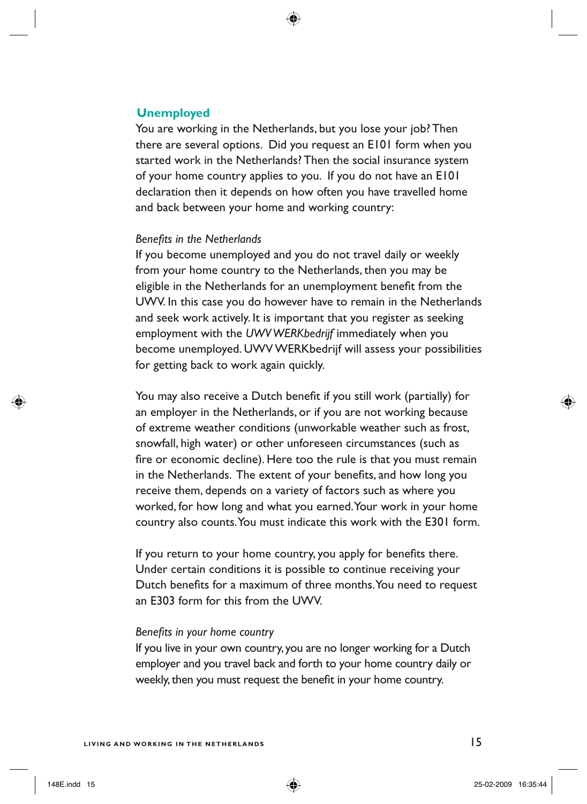## **Unemployed**

You are working in the Netherlands, but you lose your job? Then there are several options. Did you request an E101 form when you started work in the Netherlands? Then the social insurance system of your home country applies to you. If you do not have an E101 declaration then it depends on how often you have travelled home and back between your home and working country:

### *Benefits in the Netherlands*

If you become unemployed and you do not travel daily or weekly from your home country to the Netherlands, then you may be eligible in the Netherlands for an unemployment benefit from the UWV. In this case you do however have to remain in the Netherlands and seek work actively. It is important that you register as seeking employment with the *UWV WERKbedrijf* immediately when you become unemployed. UWV WERKbedrijf will assess your possibilities for getting back to work again quickly.

You may also receive a Dutch benefit if you still work (partially) for an employer in the Netherlands, or if you are not working because of extreme weather conditions (unworkable weather such as frost, snowfall, high water) or other unforeseen circumstances (such as fire or economic decline). Here too the rule is that you must remain in the Netherlands. The extent of your benefits, and how long you receive them, depends on a variety of factors such as where you worked, for how long and what you earned. Your work in your home country also counts. You must indicate this work with the E301 form.

If you return to your home country, you apply for benefits there. Under certain conditions it is possible to continue receiving your Dutch benefits for a maximum of three months. You need to request an E303 form for this from the UWV.

#### *Benefits in your home country*

If you live in your own country, you are no longer working for a Dutch employer and you travel back and forth to your home country daily or weekly, then you must request the benefit in your home country.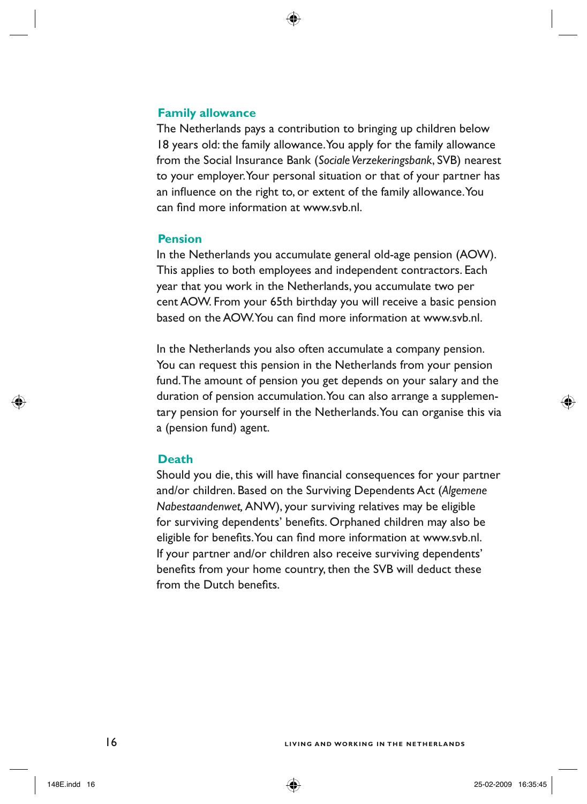## **Family allowance**

The Netherlands pays a contribution to bringing up children below 18 years old: the family allowance. You apply for the family allowance from the Social Insurance Bank (*Sociale Verzekeringsbank*, SVB) nearest to your employer. Your personal situation or that of your partner has an influence on the right to, or extent of the family allowance. You can find more information at www.svb.nl.

### **Pension**

In the Netherlands you accumulate general old-age pension (AOW). This applies to both employees and independent contractors. Each year that you work in the Netherlands, you accumulate two per cent AOW. From your 65th birthday you will receive a basic pension based on the AOW. You can find more information at www.svb.nl.

In the Netherlands you also often accumulate a company pension. You can request this pension in the Netherlands from your pension fund. The amount of pension you get depends on your salary and the duration of pension accumulation. You can also arrange a supplementary pension for yourself in the Netherlands. You can organise this via a (pension fund) agent.

## **Death**

Should you die, this will have financial consequences for your partner and/or children. Based on the Surviving Dependents Act (*Algemene Nabestaandenwet,* ANW), your surviving relatives may be eligible for surviving dependents' benefits. Orphaned children may also be eligible for benefits. You can find more information at www.svb.nl. If your partner and/or children also receive surviving dependents' benefits from your home country, then the SVB will deduct these from the Dutch benefits.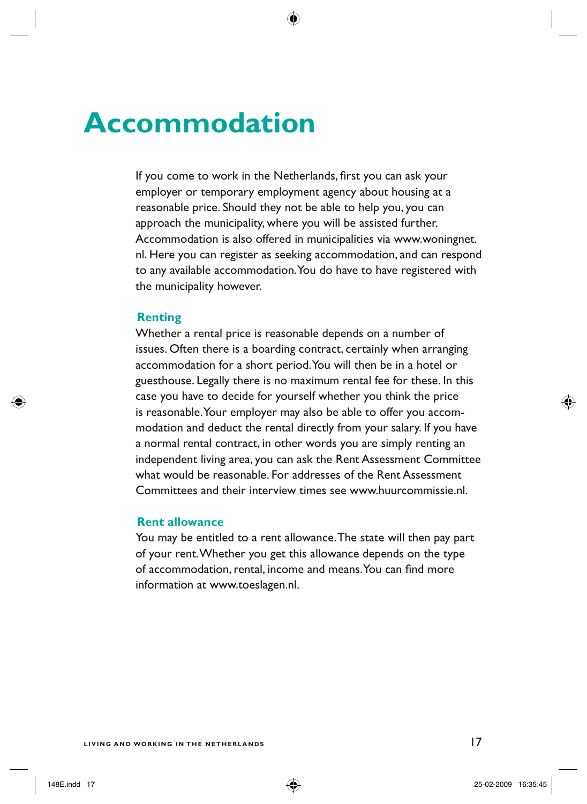## **Accommodation**

If you come to work in the Netherlands, first you can ask your employer or temporary employment agency about housing at a reasonable price. Should they not be able to help you, you can approach the municipality, where you will be assisted further. Accommodation is also offered in municipalities via www.woningnet. nl. Here you can register as seeking accommodation, and can respond to any available accommodation. You do have to have registered with the municipality however.

## **Renting**

Whether a rental price is reasonable depends on a number of issues. Often there is a boarding contract, certainly when arranging accommodation for a short period. You will then be in a hotel or guesthouse. Legally there is no maximum rental fee for these. In this case you have to decide for yourself whether you think the price is reasonable. Your employer may also be able to offer you accommodation and deduct the rental directly from your salary. If you have a normal rental contract, in other words you are simply renting an independent living area, you can ask the Rent Assessment Committee what would be reasonable. For addresses of the Rent Assessment Committees and their interview times see www.huurcommissie.nl

## **Rent allowance**

You may be entitled to a rent allowance. The state will then pay part of your rent. Whether you get this allowance depends on the type of accommodation, rental, income and means. You can find more information at www.toeslagen.nl.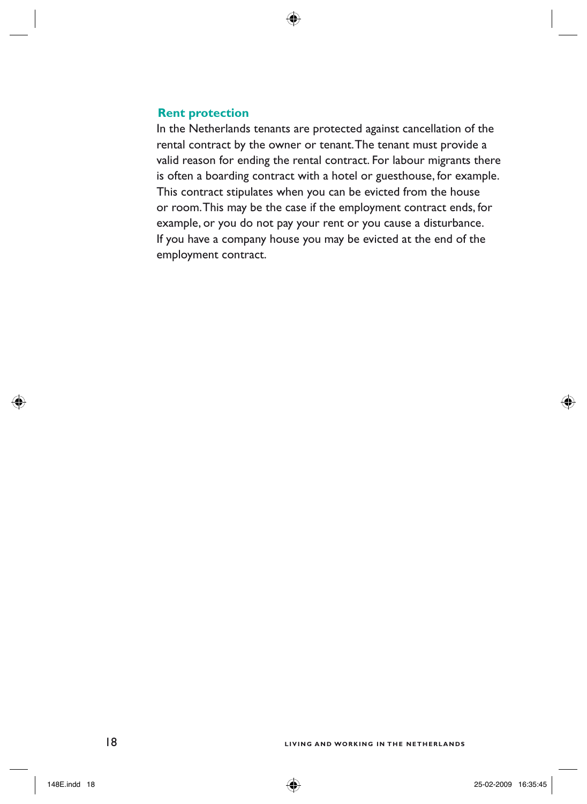## **Rent protection**

In the Netherlands tenants are protected against cancellation of the rental contract by the owner or tenant. The tenant must provide a valid reason for ending the rental contract. For labour migrants there is often a boarding contract with a hotel or guesthouse, for example. This contract stipulates when you can be evicted from the house or room. This may be the case if the employment contract ends, for example, or you do not pay your rent or you cause a disturbance. If you have a company house you may be evicted at the end of the employment contract.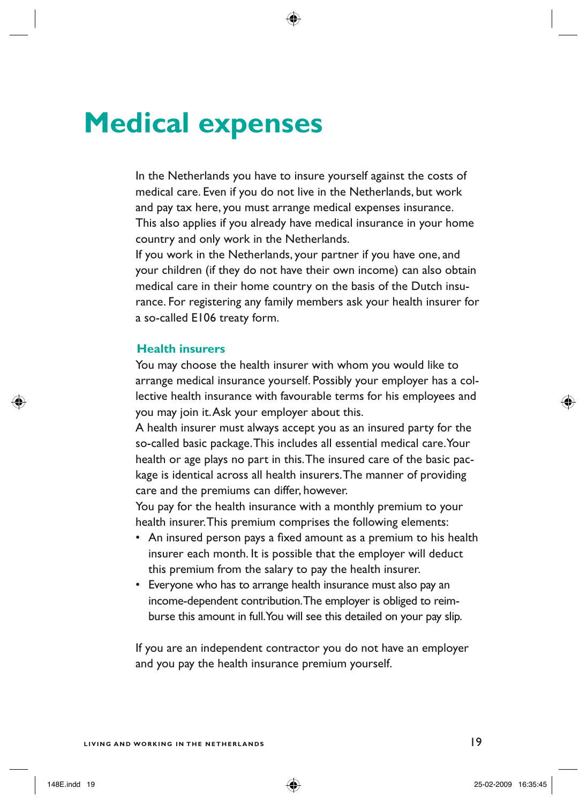## **Medical expenses**

In the Netherlands you have to insure yourself against the costs of medical care. Even if you do not live in the Netherlands, but work and pay tax here, you must arrange medical expenses insurance. This also applies if you already have medical insurance in your home country and only work in the Netherlands.

If you work in the Netherlands, your partner if you have one, and your children (if they do not have their own income) can also obtain medical care in their home country on the basis of the Dutch insurance. For registering any family members ask your health insurer for a so-called E106 treaty form.

#### **Health insurers**

You may choose the health insurer with whom you would like to arrange medical insurance yourself. Possibly your employer has a collective health insurance with favourable terms for his employees and you may join it. Ask your employer about this.

A health insurer must always accept you as an insured party for the so-called basic package. This includes all essential medical care. Your health or age plays no part in this. The insured care of the basic package is identical across all health insurers. The manner of providing care and the premiums can differ, however.

You pay for the health insurance with a monthly premium to your health insurer. This premium comprises the following elements:

- An insured person pays a fixed amount as a premium to his health insurer each month. It is possible that the employer will deduct this premium from the salary to pay the health insurer.
- Everyone who has to arrange health insurance must also pay an income-dependent contribution. The employer is obliged to reimburse this amount in full. You will see this detailed on your pay slip.

If you are an independent contractor you do not have an employer and you pay the health insurance premium yourself.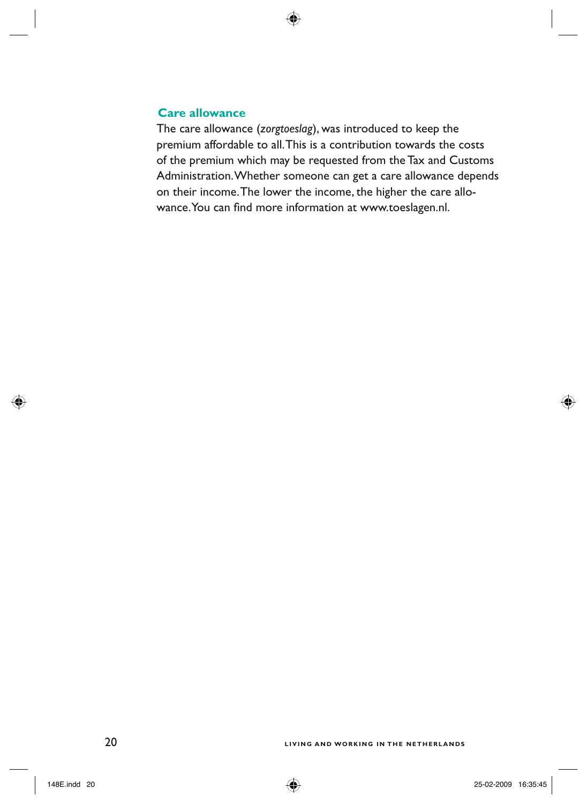## **Care allowance**

The care allowance (*zorgtoeslag*), was introduced to keep the premium affordable to all. This is a contribution towards the costs of the premium which may be requested from the Tax and Customs Administration. Whether someone can get a care allowance depends on their income. The lower the income, the higher the care allowance. You can find more information at www.toeslagen.nl.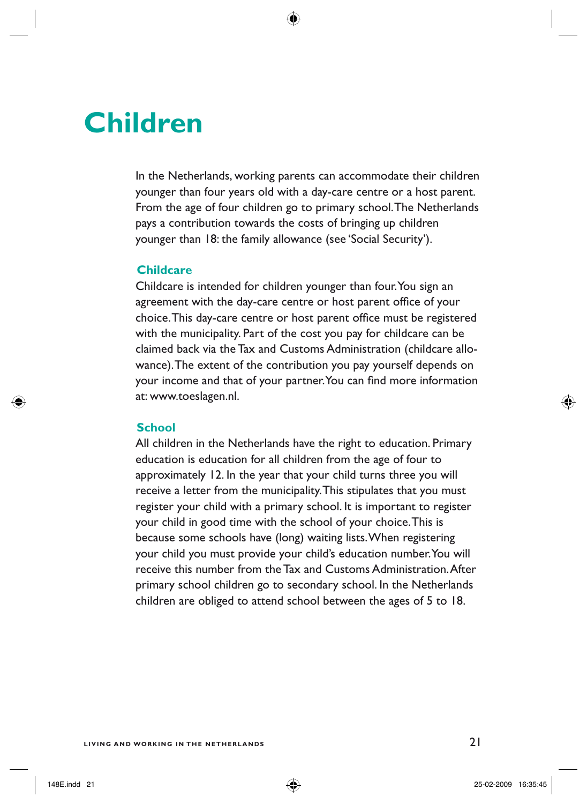## **Children**

In the Netherlands, working parents can accommodate their children younger than four years old with a day-care centre or a host parent. From the age of four children go to primary school. The Netherlands pays a contribution towards the costs of bringing up children younger than 18: the family allowance (see 'Social Security').

## **Childcare**

Childcare is intended for children younger than four. You sign an agreement with the day-care centre or host parent office of your choice. This day-care centre or host parent office must be registered with the municipality. Part of the cost you pay for childcare can be claimed back via the Tax and Customs Administration (childcare allowance). The extent of the contribution you pay yourself depends on your income and that of your partner. You can find more information at: www.toeslagen.nl.

## **School**

All children in the Netherlands have the right to education. Primary education is education for all children from the age of four to approximately 12. In the year that your child turns three you will receive a letter from the municipality. This stipulates that you must register your child with a primary school. It is important to register your child in good time with the school of your choice. This is because some schools have (long) waiting lists. When registering your child you must provide your child's education number. You will receive this number from the Tax and Customs Administration. After primary school children go to secondary school. In the Netherlands children are obliged to attend school between the ages of 5 to 18.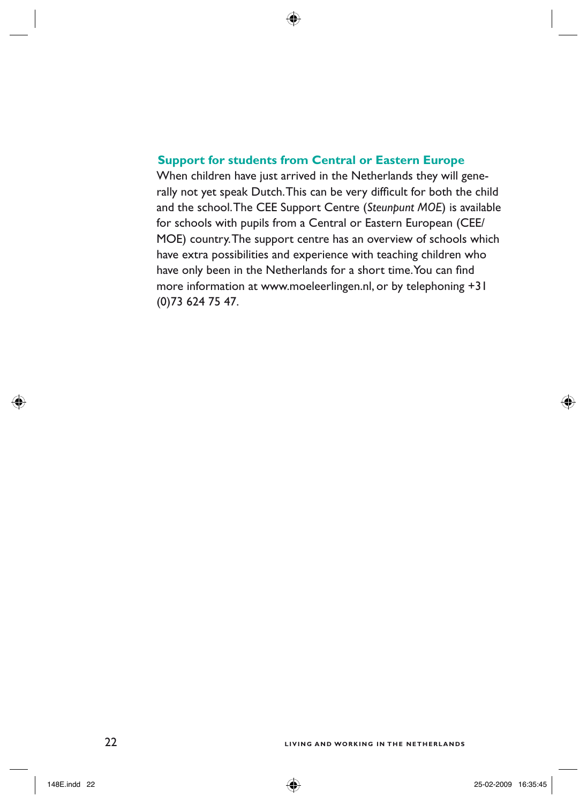## **Support for students from Central or Eastern Europe**

When children have just arrived in the Netherlands they will generally not yet speak Dutch. This can be very difficult for both the child and the school. The CEE Support Centre (*Steunpunt MOE*) is available for schools with pupils from a Central or Eastern European (CEE/ MOE) country. The support centre has an overview of schools which have extra possibilities and experience with teaching children who have only been in the Netherlands for a short time. You can find more information at www.moeleerlingen.nl, or by telephoning +31 (0)73 624 75 47.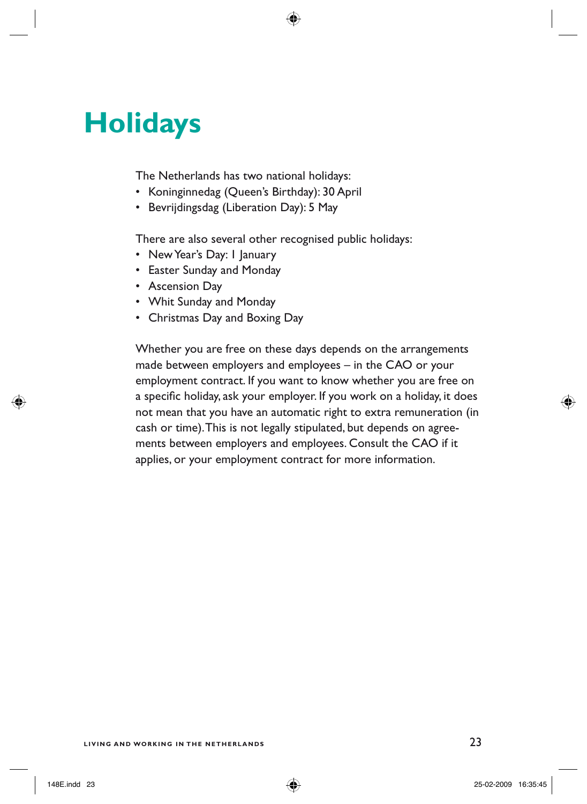## **Holidays**

The Netherlands has two national holidays:

- Koninginnedag (Queen's Birthday): 30 April
- Bevrijdingsdag (Liberation Day): 5 May

There are also several other recognised public holidays:

- New Year's Day: I January
- Easter Sunday and Monday
- Ascension Day
- Whit Sunday and Monday
- Christmas Day and Boxing Day

Whether you are free on these days depends on the arrangements made between employers and employees – in the CAO or your employment contract. If you want to know whether you are free on a specific holiday, ask your employer. If you work on a holiday, it does not mean that you have an automatic right to extra remuneration (in cash or time). This is not legally stipulated, but depends on agreements between employers and employees. Consult the CAO if it applies, or your employment contract for more information.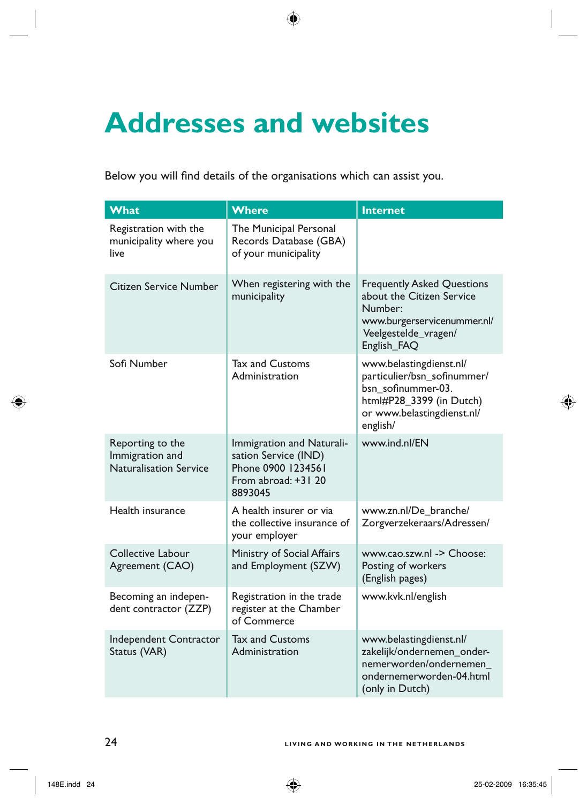# **Addresses and websites**

Below you will find details of the organisations which can assist you.

| What                                                          | Where                                                                                                     | <b>Internet</b>                                                                                                                                    |
|---------------------------------------------------------------|-----------------------------------------------------------------------------------------------------------|----------------------------------------------------------------------------------------------------------------------------------------------------|
| Registration with the<br>municipality where you<br>live       | The Municipal Personal<br>Records Database (GBA)<br>of your municipality                                  |                                                                                                                                                    |
| Citizen Service Number                                        | When registering with the<br>municipality                                                                 | <b>Frequently Asked Questions</b><br>about the Citizen Service<br>Number:<br>www.burgerservicenummer.nl/<br>Veelgestelde_vragen/<br>English_FAQ    |
| Sofi Number                                                   | Tax and Customs<br>Administration                                                                         | www.belastingdienst.nl/<br>particulier/bsn_sofinummer/<br>bsn sofinummer-03.<br>html#P28_3399 (in Dutch)<br>or www.belastingdienst.nl/<br>english/ |
| Reporting to the<br>Immigration and<br>Naturalisation Service | Immigration and Naturali-<br>sation Service (IND)<br>Phone 0900 1234561<br>From abroad: +31 20<br>8893045 | www.ind.nl/EN                                                                                                                                      |
| Health insurance                                              | A health insurer or via<br>the collective insurance of<br>your employer                                   | www.zn.nl/De branche/<br>Zorgverzekeraars/Adressen/                                                                                                |
| Collective Labour<br>Agreement (CAO)                          | Ministry of Social Affairs<br>and Employment (SZW)                                                        | www.cao.szw.nl -> Choose:<br>Posting of workers<br>(English pages)                                                                                 |
| Becoming an indepen-<br>dent contractor (ZZP)                 | Registration in the trade<br>register at the Chamber<br>of Commerce                                       | www.kvk.nl/english                                                                                                                                 |
| Independent Contractor<br>Status (VAR)                        | <b>Tax and Customs</b><br>Administration                                                                  | www.belastingdienst.nl/<br>zakelijk/ondernemen_onder-<br>nemerworden/ondernemen<br>ondernemerworden-04.html<br>(only in Dutch)                     |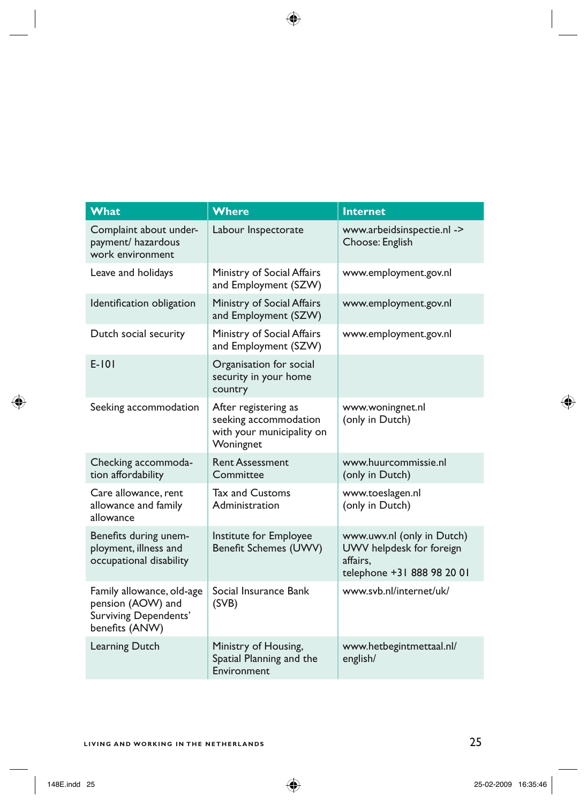| What                                                                                             | Where                                                                                   | <b>Internet</b>                                                                                  |
|--------------------------------------------------------------------------------------------------|-----------------------------------------------------------------------------------------|--------------------------------------------------------------------------------------------------|
| Complaint about under-<br>payment/ hazardous<br>work environment                                 | Labour Inspectorate                                                                     | www.arbeidsinspectie.nl -><br>Choose: English                                                    |
| Leave and holidays                                                                               | Ministry of Social Affairs<br>and Employment (SZW)                                      | www.employment.gov.nl                                                                            |
| Identification obligation                                                                        | Ministry of Social Affairs<br>and Employment (SZW)                                      | www.employment.gov.nl                                                                            |
| Dutch social security                                                                            | Ministry of Social Affairs<br>and Employment (SZW)                                      | www.employment.gov.nl                                                                            |
| $F-101$                                                                                          | Organisation for social<br>security in your home<br>country                             |                                                                                                  |
| Seeking accommodation                                                                            | After registering as<br>seeking accommodation<br>with your municipality on<br>Woningnet | www.woningnet.nl<br>(only in Dutch)                                                              |
| Checking accommoda-<br>tion affordability                                                        | <b>Rent Assessment</b><br>Committee                                                     | www.huurcommissie.nl<br>(only in Dutch)                                                          |
| Care allowance, rent<br>allowance and family<br>allowance                                        | <b>Tax and Customs</b><br>Administration                                                | www.toeslagen.nl<br>(only in Dutch)                                                              |
| Benefits during unem-<br>ployment, illness and<br>occupational disability                        | Institute for Employee<br><b>Benefit Schemes (UWV)</b>                                  | www.uwv.nl (only in Dutch)<br>UWV helpdesk for foreign<br>affairs.<br>telephone +31 888 98 20 01 |
| Family allowance, old-age<br>pension (AOW) and<br><b>Surviving Dependents'</b><br>benefits (ANW) | Social Insurance Bank<br>(SVB)                                                          | www.svb.nl/internet/uk/                                                                          |
| Learning Dutch                                                                                   | Ministry of Housing,<br>Spatial Planning and the<br>Environment                         | www.hetbegintmettaal.nl/<br>english/                                                             |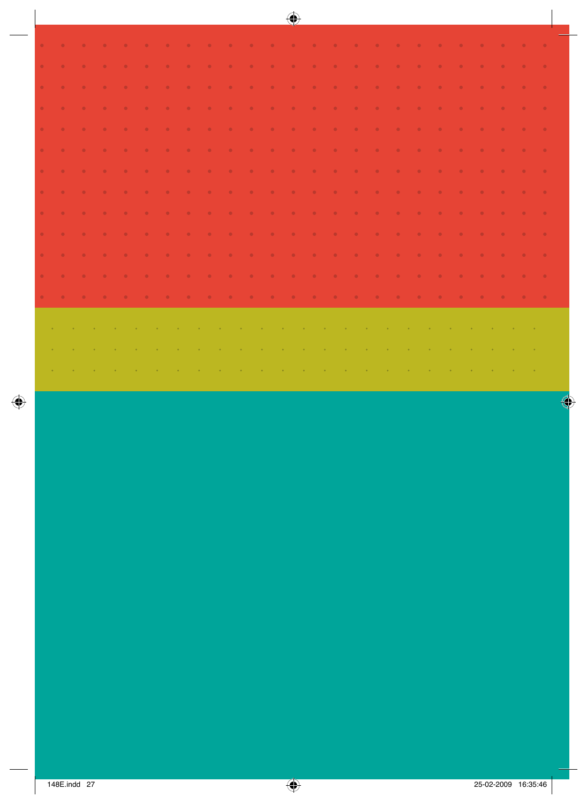| a dia dia 49.000 kaominina mpikambana amin'ny fivondronan-kaominin'i Paris-Al-Maria de La Grégoria de La Grégoria de La Grégoria de La Grégoria de La Grégoria de La Grégoria de La Grégoria de La Grégoria de La Grégoria de |  |  |  |  |  |  |  |  |  |  |  |  |
|-------------------------------------------------------------------------------------------------------------------------------------------------------------------------------------------------------------------------------|--|--|--|--|--|--|--|--|--|--|--|--|
|                                                                                                                                                                                                                               |  |  |  |  |  |  |  |  |  |  |  |  |
|                                                                                                                                                                                                                               |  |  |  |  |  |  |  |  |  |  |  |  |
| a dia dia 49.000 kaominina mpikambana amin'ny fivondronan-kaominin'i Paris-Al-Maria de La Grégoria de La Grégoria de La Grégoria de La Grégoria de La Grégoria de La Grégoria de La Grégoria de La Grégoria de La Grégoria de |  |  |  |  |  |  |  |  |  |  |  |  |
|                                                                                                                                                                                                                               |  |  |  |  |  |  |  |  |  |  |  |  |
| a dia dia 49.000 kaominina mpikambana amin'ny fivondronan-kaominin'i Paris-Al-Maria de La Grégoria de La Grégoria de La Grégoria de La Grégoria de La Grégoria de La Grégoria de La Grégoria de La Grégoria de La Grégoria de |  |  |  |  |  |  |  |  |  |  |  |  |
|                                                                                                                                                                                                                               |  |  |  |  |  |  |  |  |  |  |  |  |
|                                                                                                                                                                                                                               |  |  |  |  |  |  |  |  |  |  |  |  |
| a dia dia 49.000 kaominina mpikambana amin'ny fivondronan-kaominin'i Paris-Al-Maria de La Grégoria de La Grégoria de La Grégoria de La Grégoria de La Grégoria de La Grégoria de La Grégoria de La Grégoria de La Grégoria de |  |  |  |  |  |  |  |  |  |  |  |  |
|                                                                                                                                                                                                                               |  |  |  |  |  |  |  |  |  |  |  |  |
| the control of the control of the control of the control of the control of the control of the control of the control of the control of the control of the control of the control of the control of the control of the control |  |  |  |  |  |  |  |  |  |  |  |  |
| the contract of the contract of the contract of the contract of the contract of the contract of the contract of                                                                                                               |  |  |  |  |  |  |  |  |  |  |  |  |
| in a company of the company of the company of the company of the company of the company of the company of the company                                                                                                         |  |  |  |  |  |  |  |  |  |  |  |  |